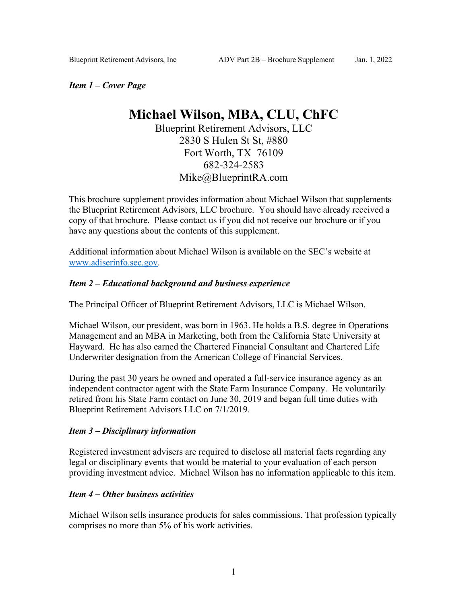*Item 1 – Cover Page*

# **Michael Wilson, MBA, CLU, ChFC**

Blueprint Retirement Advisors, LLC 2830 S Hulen St St, #880 Fort Worth, TX 76109 682-324-2583 Mike@BlueprintRA.com

This brochure supplement provides information about Michael Wilson that supplements the Blueprint Retirement Advisors, LLC brochure. You should have already received a copy of that brochure. Please contact us if you did not receive our brochure or if you have any questions about the contents of this supplement.

Additional information about Michael Wilson is available on the SEC's website at www.adiserinfo.sec.gov.

## *Item 2 – Educational background and business experience*

The Principal Officer of Blueprint Retirement Advisors, LLC is Michael Wilson.

Michael Wilson, our president, was born in 1963. He holds a B.S. degree in Operations Management and an MBA in Marketing, both from the California State University at Hayward. He has also earned the Chartered Financial Consultant and Chartered Life Underwriter designation from the American College of Financial Services.

During the past 30 years he owned and operated a full-service insurance agency as an independent contractor agent with the State Farm Insurance Company. He voluntarily retired from his State Farm contact on June 30, 2019 and began full time duties with Blueprint Retirement Advisors LLC on 7/1/2019.

## *Item 3 – Disciplinary information*

Registered investment advisers are required to disclose all material facts regarding any legal or disciplinary events that would be material to your evaluation of each person providing investment advice. Michael Wilson has no information applicable to this item.

### *Item 4 – Other business activities*

Michael Wilson sells insurance products for sales commissions. That profession typically comprises no more than 5% of his work activities.